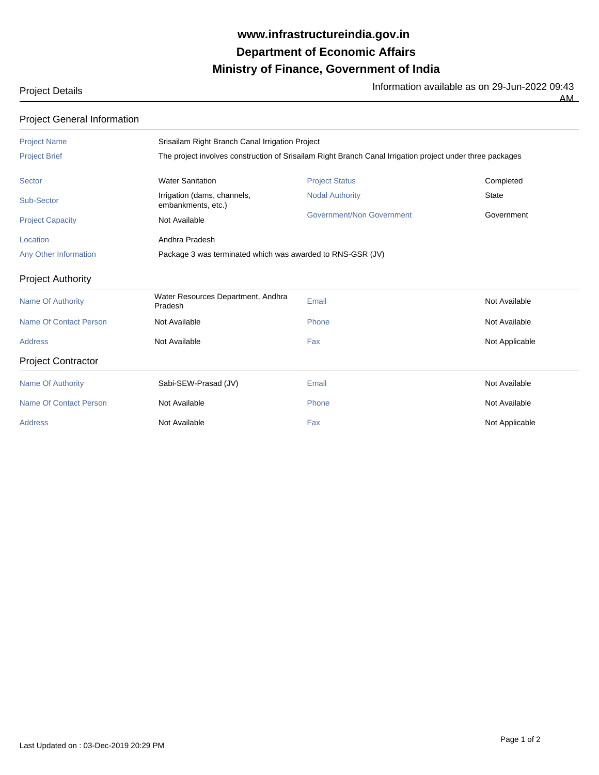## **Ministry of Finance, Government of India Department of Economic Affairs www.infrastructureindia.gov.in**

Project Details **Information available as on 29-Jun-2022** 09:43

 $\overline{AM}$ 

| <b>Project General Information</b> |  |
|------------------------------------|--|
|------------------------------------|--|

| <b>Project Name</b>       | Srisailam Right Branch Canal Irrigation Project                                                           |                           |                |  |
|---------------------------|-----------------------------------------------------------------------------------------------------------|---------------------------|----------------|--|
| <b>Project Brief</b>      | The project involves construction of Srisailam Right Branch Canal Irrigation project under three packages |                           |                |  |
| Sector                    | <b>Water Sanitation</b>                                                                                   | <b>Project Status</b>     | Completed      |  |
| Sub-Sector                | Irrigation (dams, channels,<br>embankments, etc.)                                                         | <b>Nodal Authority</b>    | <b>State</b>   |  |
| <b>Project Capacity</b>   | Not Available                                                                                             | Government/Non Government | Government     |  |
| Location                  | Andhra Pradesh                                                                                            |                           |                |  |
| Any Other Information     | Package 3 was terminated which was awarded to RNS-GSR (JV)                                                |                           |                |  |
| <b>Project Authority</b>  |                                                                                                           |                           |                |  |
| <b>Name Of Authority</b>  | Water Resources Department, Andhra<br>Pradesh                                                             | Email                     | Not Available  |  |
| Name Of Contact Person    | Not Available                                                                                             | Phone                     | Not Available  |  |
| <b>Address</b>            | Not Available                                                                                             | Fax                       | Not Applicable |  |
| <b>Project Contractor</b> |                                                                                                           |                           |                |  |
| <b>Name Of Authority</b>  | Sabi-SEW-Prasad (JV)                                                                                      | Email                     | Not Available  |  |
| Name Of Contact Person    | Not Available                                                                                             | Phone                     | Not Available  |  |
| <b>Address</b>            | Not Available                                                                                             | Fax                       | Not Applicable |  |
|                           |                                                                                                           |                           |                |  |